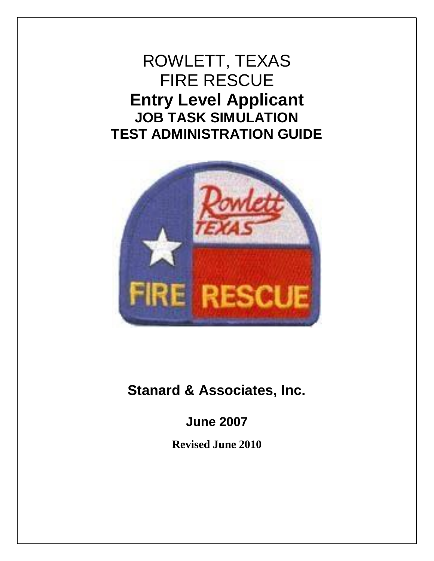ROWLETT, TEXAS FIRE RESCUE **Entry Level Applicant JOB TASK SIMULATION TEST ADMINISTRATION GUIDE**



**Stanard & Associates, Inc.**

**June 2007**

**Revised June 2010**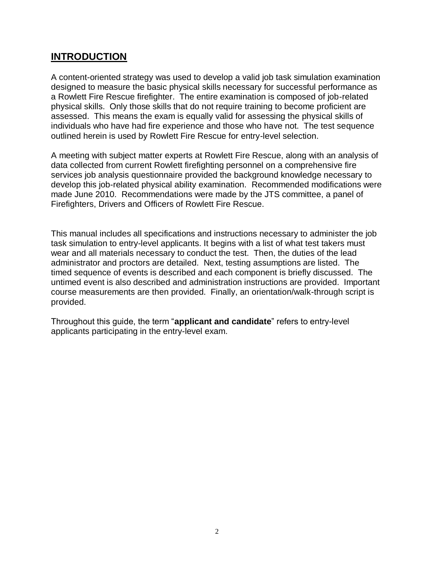## **INTRODUCTION**

A content-oriented strategy was used to develop a valid job task simulation examination designed to measure the basic physical skills necessary for successful performance as a Rowlett Fire Rescue firefighter. The entire examination is composed of job-related physical skills. Only those skills that do not require training to become proficient are assessed. This means the exam is equally valid for assessing the physical skills of individuals who have had fire experience and those who have not. The test sequence outlined herein is used by Rowlett Fire Rescue for entry-level selection.

A meeting with subject matter experts at Rowlett Fire Rescue, along with an analysis of data collected from current Rowlett firefighting personnel on a comprehensive fire services job analysis questionnaire provided the background knowledge necessary to develop this job-related physical ability examination. Recommended modifications were made June 2010. Recommendations were made by the JTS committee, a panel of Firefighters, Drivers and Officers of Rowlett Fire Rescue.

This manual includes all specifications and instructions necessary to administer the job task simulation to entry-level applicants. It begins with a list of what test takers must wear and all materials necessary to conduct the test. Then, the duties of the lead administrator and proctors are detailed. Next, testing assumptions are listed. The timed sequence of events is described and each component is briefly discussed. The untimed event is also described and administration instructions are provided. Important course measurements are then provided. Finally, an orientation/walk-through script is provided.

Throughout this guide, the term "**applicant and candidate**" refers to entry-level applicants participating in the entry-level exam.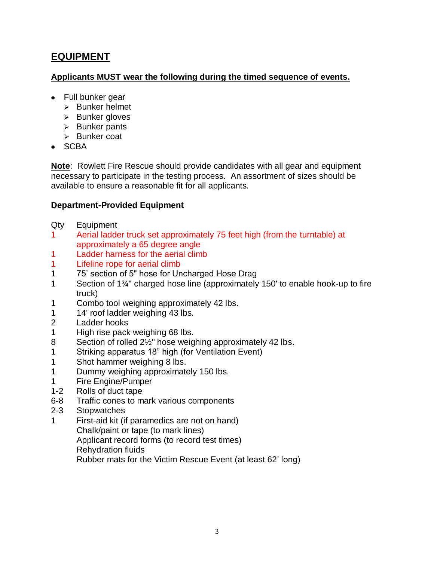## **EQUIPMENT**

#### **Applicants MUST wear the following during the timed sequence of events.**

- Full bunker gear
	- $\triangleright$  Bunker helmet
	- $\triangleright$  Bunker gloves
	- $\triangleright$  Bunker pants
	- $\triangleright$  Bunker coat
- $\bullet$  SCBA

**Note**: Rowlett Fire Rescue should provide candidates with all gear and equipment necessary to participate in the testing process. An assortment of sizes should be available to ensure a reasonable fit for all applicants.

## **Department-Provided Equipment**

- Qty Equipment
- 1 Aerial ladder truck set approximately 75 feet high (from the turntable) at approximately a 65 degree angle
- 1 Ladder harness for the aerial climb
- 1 Lifeline rope for aerial climb
- 1 75' section of 5" hose for Uncharged Hose Drag
- 1 Section of 1¾" charged hose line (approximately 150' to enable hook-up to fire truck)
- 1 Combo tool weighing approximately 42 lbs.
- 1 14' roof ladder weighing 43 lbs.
- 2 Ladder hooks
- 1 High rise pack weighing 68 lbs.
- 8 Section of rolled 2½" hose weighing approximately 42 lbs.
- 1 Striking apparatus 18" high (for Ventilation Event)
- 1 Shot hammer weighing 8 lbs.
- 1 Dummy weighing approximately 150 lbs.
- 1 Fire Engine/Pumper
- 1-2 Rolls of duct tape
- 6-8 Traffic cones to mark various components
- 2-3 Stopwatches
- 1 First-aid kit (if paramedics are not on hand) Chalk/paint or tape (to mark lines) Applicant record forms (to record test times) Rehydration fluids

Rubber mats for the Victim Rescue Event (at least 62' long)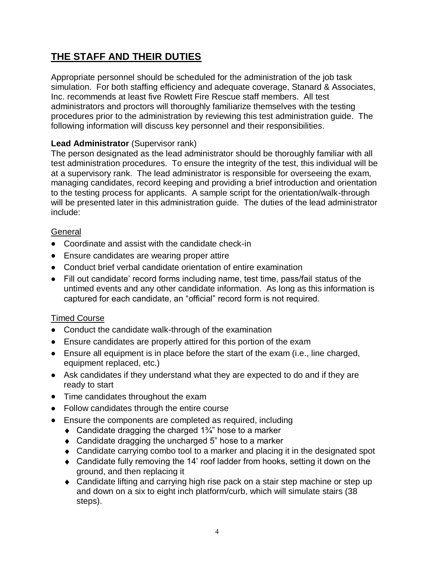# **THE STAFF AND THEIR DUTIES**

Appropriate personnel should be scheduled for the administration of the job task simulation. For both staffing efficiency and adequate coverage, Stanard & Associates, Inc. recommends at least five Rowlett Fire Rescue staff members. All test administrators and proctors will thoroughly familiarize themselves with the testing procedures prior to the administration by reviewing this test administration guide. The following information will discuss key personnel and their responsibilities.

## **Lead Administrator** (Supervisor rank)

The person designated as the lead administrator should be thoroughly familiar with all test administration procedures. To ensure the integrity of the test, this individual will be at a supervisory rank. The lead administrator is responsible for overseeing the exam, managing candidates, record keeping and providing a brief introduction and orientation to the testing process for applicants. A sample script for the orientation/walk-through will be presented later in this administration guide. The duties of the lead administrator include:

### General

- Coordinate and assist with the candidate check-in
- Ensure candidates are wearing proper attire
- Conduct brief verbal candidate orientation of entire examination
- Fill out candidate' record forms including name, test time, pass/fail status of the untimed events and any other candidate information. As long as this information is captured for each candidate, an "official" record form is not required.

## Timed Course

- Conduct the candidate walk-through of the examination
- Ensure candidates are properly attired for this portion of the exam
- Ensure all equipment is in place before the start of the exam (i.e., line charged, equipment replaced, etc.)
- Ask candidates if they understand what they are expected to do and if they are ready to start
- Time candidates throughout the exam
- Follow candidates through the entire course
- Ensure the components are completed as required, including
	- Candidate dragging the charged 1¾" hose to a marker
	- ◆ Candidate dragging the uncharged 5" hose to a marker
	- Candidate carrying combo tool to a marker and placing it in the designated spot
	- Candidate fully removing the 14' roof ladder from hooks, setting it down on the ground, and then replacing it
	- Candidate lifting and carrying high rise pack on a stair step machine or step up and down on a six to eight inch platform/curb, which will simulate stairs (38 steps).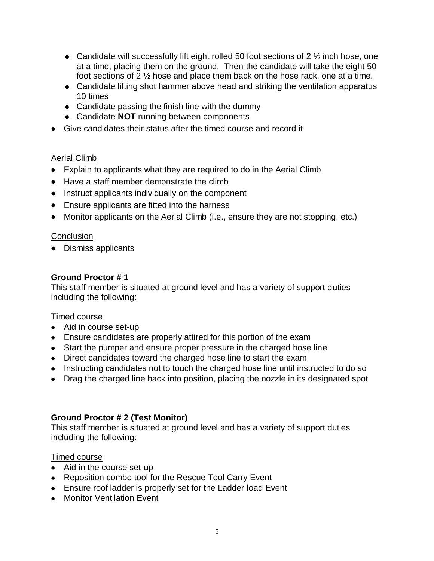- $\bullet$  Candidate will successfully lift eight rolled 50 foot sections of 2  $\frac{1}{2}$  inch hose, one at a time, placing them on the ground. Then the candidate will take the eight 50 foot sections of 2 ½ hose and place them back on the hose rack, one at a time.
- Candidate lifting shot hammer above head and striking the ventilation apparatus 10 times
- $\triangle$  Candidate passing the finish line with the dummy
- ◆ Candidate **NOT** running between components
- Give candidates their status after the timed course and record it

### Aerial Climb

- Explain to applicants what they are required to do in the Aerial Climb
- Have a staff member demonstrate the climb
- Instruct applicants individually on the component
- Ensure applicants are fitted into the harness
- Monitor applicants on the Aerial Climb (i.e., ensure they are not stopping, etc.)

### **Conclusion**

• Dismiss applicants

### **Ground Proctor # 1**

This staff member is situated at ground level and has a variety of support duties including the following:

#### Timed course

- Aid in course set-up
- Ensure candidates are properly attired for this portion of the exam
- Start the pumper and ensure proper pressure in the charged hose line
- Direct candidates toward the charged hose line to start the exam
- Instructing candidates not to touch the charged hose line until instructed to do so
- Drag the charged line back into position, placing the nozzle in its designated spot

## **Ground Proctor # 2 (Test Monitor)**

This staff member is situated at ground level and has a variety of support duties including the following:

#### Timed course

- Aid in the course set-up
- Reposition combo tool for the Rescue Tool Carry Event
- Ensure roof ladder is properly set for the Ladder load Event
- **•** Monitor Ventilation Event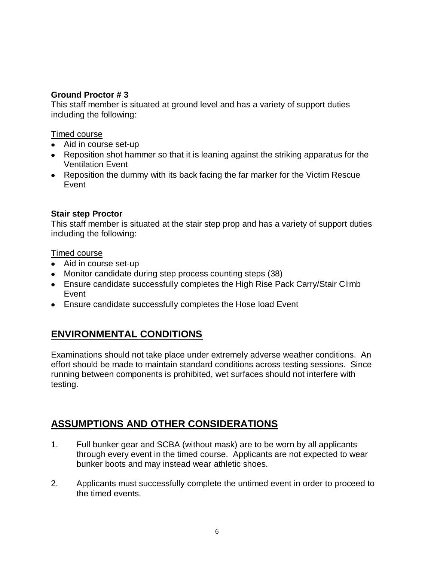### **Ground Proctor # 3**

This staff member is situated at ground level and has a variety of support duties including the following:

#### Timed course

- Aid in course set-up
- Reposition shot hammer so that it is leaning against the striking apparatus for the Ventilation Event
- Reposition the dummy with its back facing the far marker for the Victim Rescue Event

### **Stair step Proctor**

This staff member is situated at the stair step prop and has a variety of support duties including the following:

#### Timed course

- Aid in course set-up
- Monitor candidate during step process counting steps (38)
- Ensure candidate successfully completes the High Rise Pack Carry/Stair Climb Event
- Ensure candidate successfully completes the Hose load Event

## **ENVIRONMENTAL CONDITIONS**

Examinations should not take place under extremely adverse weather conditions. An effort should be made to maintain standard conditions across testing sessions. Since running between components is prohibited, wet surfaces should not interfere with testing.

## **ASSUMPTIONS AND OTHER CONSIDERATIONS**

- 1. Full bunker gear and SCBA (without mask) are to be worn by all applicants through every event in the timed course. Applicants are not expected to wear bunker boots and may instead wear athletic shoes.
- 2. Applicants must successfully complete the untimed event in order to proceed to the timed events.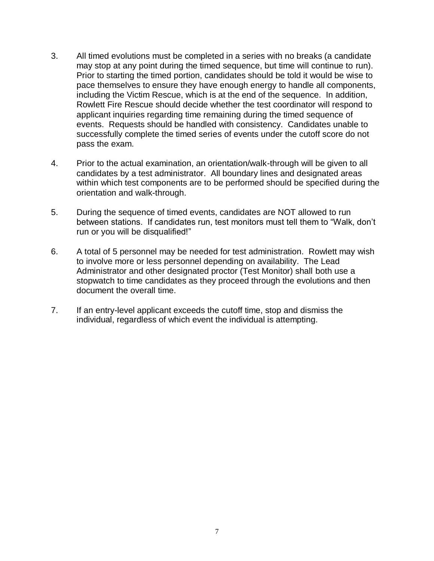- 3. All timed evolutions must be completed in a series with no breaks (a candidate may stop at any point during the timed sequence, but time will continue to run). Prior to starting the timed portion, candidates should be told it would be wise to pace themselves to ensure they have enough energy to handle all components, including the Victim Rescue, which is at the end of the sequence. In addition, Rowlett Fire Rescue should decide whether the test coordinator will respond to applicant inquiries regarding time remaining during the timed sequence of events. Requests should be handled with consistency. Candidates unable to successfully complete the timed series of events under the cutoff score do not pass the exam.
- 4. Prior to the actual examination, an orientation/walk-through will be given to all candidates by a test administrator. All boundary lines and designated areas within which test components are to be performed should be specified during the orientation and walk-through.
- 5. During the sequence of timed events, candidates are NOT allowed to run between stations. If candidates run, test monitors must tell them to "Walk, don't run or you will be disqualified!"
- 6. A total of 5 personnel may be needed for test administration. Rowlett may wish to involve more or less personnel depending on availability. The Lead Administrator and other designated proctor (Test Monitor) shall both use a stopwatch to time candidates as they proceed through the evolutions and then document the overall time.
- 7. If an entry-level applicant exceeds the cutoff time, stop and dismiss the individual, regardless of which event the individual is attempting.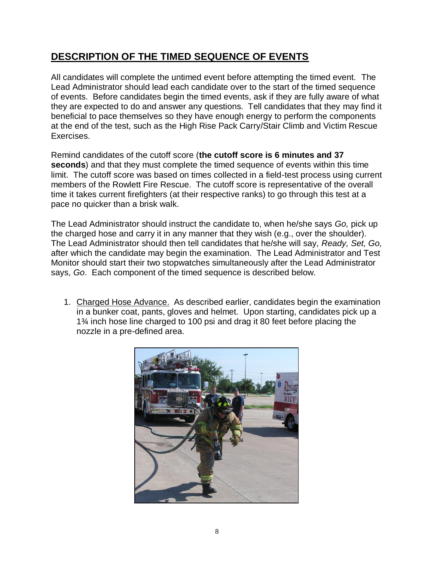## **DESCRIPTION OF THE TIMED SEQUENCE OF EVENTS**

All candidates will complete the untimed event before attempting the timed event. The Lead Administrator should lead each candidate over to the start of the timed sequence of events. Before candidates begin the timed events, ask if they are fully aware of what they are expected to do and answer any questions. Tell candidates that they may find it beneficial to pace themselves so they have enough energy to perform the components at the end of the test, such as the High Rise Pack Carry/Stair Climb and Victim Rescue Exercises.

Remind candidates of the cutoff score (**the cutoff score is 6 minutes and 37 seconds**) and that they must complete the timed sequence of events within this time limit. The cutoff score was based on times collected in a field-test process using current members of the Rowlett Fire Rescue. The cutoff score is representative of the overall time it takes current firefighters (at their respective ranks) to go through this test at a pace no quicker than a brisk walk.

The Lead Administrator should instruct the candidate to, when he/she says *Go,* pick up the charged hose and carry it in any manner that they wish (e.g., over the shoulder). The Lead Administrator should then tell candidates that he/she will say, *Ready, Set, Go,* after which the candidate may begin the examination. The Lead Administrator and Test Monitor should start their two stopwatches simultaneously after the Lead Administrator says, *Go*. Each component of the timed sequence is described below.

1. Charged Hose Advance. As described earlier, candidates begin the examination in a bunker coat, pants, gloves and helmet. Upon starting, candidates pick up a 1¾ inch hose line charged to 100 psi and drag it 80 feet before placing the nozzle in a pre-defined area.

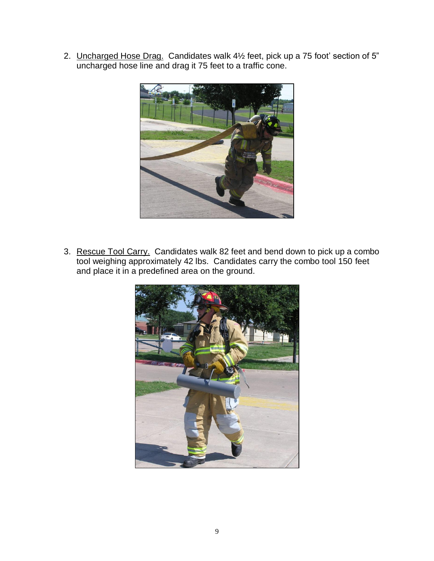2. Uncharged Hose Drag. Candidates walk 4½ feet, pick up a 75 foot' section of 5" uncharged hose line and drag it 75 feet to a traffic cone.



3. Rescue Tool Carry. Candidates walk 82 feet and bend down to pick up a combo tool weighing approximately 42 lbs. Candidates carry the combo tool 150 feet and place it in a predefined area on the ground.

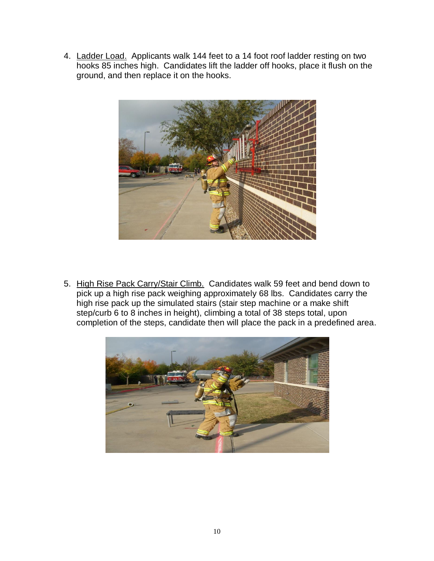4. Ladder Load. Applicants walk 144 feet to a 14 foot roof ladder resting on two hooks 85 inches high. Candidates lift the ladder off hooks, place it flush on the ground, and then replace it on the hooks.



5. High Rise Pack Carry/Stair Climb. Candidates walk 59 feet and bend down to pick up a high rise pack weighing approximately 68 lbs. Candidates carry the high rise pack up the simulated stairs (stair step machine or a make shift step/curb 6 to 8 inches in height), climbing a total of 38 steps total, upon completion of the steps, candidate then will place the pack in a predefined area.

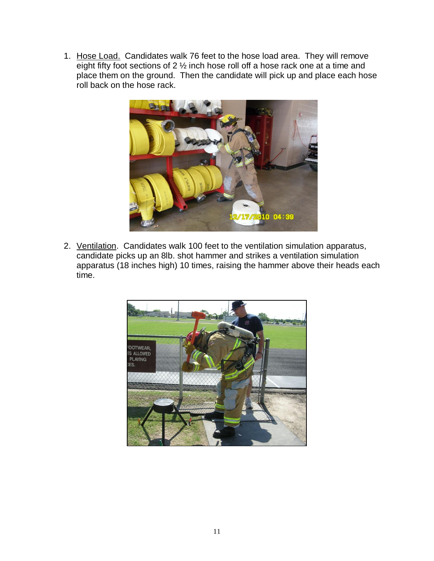1. Hose Load. Candidates walk 76 feet to the hose load area. They will remove eight fifty foot sections of 2 ½ inch hose roll off a hose rack one at a time and place them on the ground. Then the candidate will pick up and place each hose roll back on the hose rack.



2. Ventilation. Candidates walk 100 feet to the ventilation simulation apparatus, candidate picks up an 8lb. shot hammer and strikes a ventilation simulation apparatus (18 inches high) 10 times, raising the hammer above their heads each time.

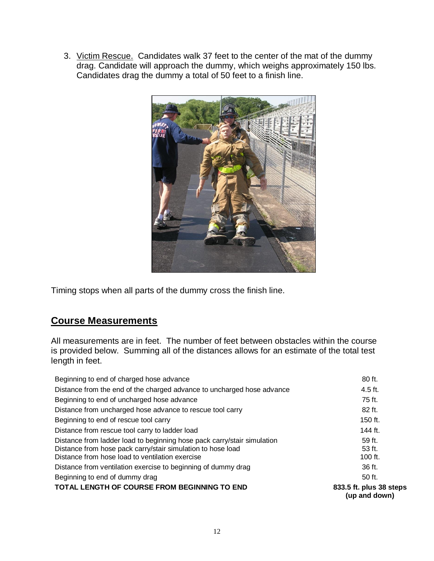3. Victim Rescue. Candidates walk 37 feet to the center of the mat of the dummy drag. Candidate will approach the dummy, which weighs approximately 150 lbs. Candidates drag the dummy a total of 50 feet to a finish line.



Timing stops when all parts of the dummy cross the finish line.

## **Course Measurements**

All measurements are in feet. The number of feet between obstacles within the course is provided below. Summing all of the distances allows for an estimate of the total test length in feet.

| TOTAL LENGTH OF COURSE FROM BEGINNING TO END                                                                                                                                              | 833.5 ft. plus 38 steps<br>(up and down) |
|-------------------------------------------------------------------------------------------------------------------------------------------------------------------------------------------|------------------------------------------|
| Beginning to end of dummy drag                                                                                                                                                            | 50 ft.                                   |
| Distance from ventilation exercise to beginning of dummy drag                                                                                                                             | 36 ft.                                   |
| Distance from ladder load to beginning hose pack carry/stair simulation<br>Distance from hose pack carry/stair simulation to hose load<br>Distance from hose load to ventilation exercise | $59$ ft.<br>$53$ ft.<br>$100$ ft.        |
| Distance from rescue tool carry to ladder load                                                                                                                                            | 144 $ft$                                 |
| Beginning to end of rescue tool carry                                                                                                                                                     | $150$ ft.                                |
| Distance from uncharged hose advance to rescue tool carry                                                                                                                                 | 82 ft.                                   |
| Beginning to end of uncharged hose advance                                                                                                                                                | 75 ft.                                   |
| Distance from the end of the charged advance to uncharged hose advance                                                                                                                    | $4.5$ ft.                                |
| Beginning to end of charged hose advance                                                                                                                                                  | 80 ft.                                   |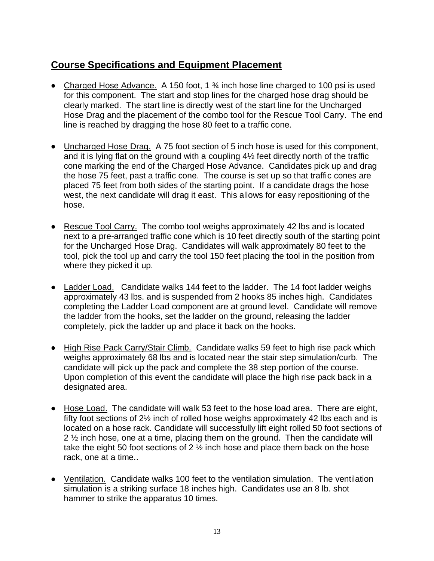## **Course Specifications and Equipment Placement**

- Charged Hose Advance. A 150 foot, 1 <sup>3</sup>/<sub>4</sub> inch hose line charged to 100 psi is used for this component. The start and stop lines for the charged hose drag should be clearly marked. The start line is directly west of the start line for the Uncharged Hose Drag and the placement of the combo tool for the Rescue Tool Carry. The end line is reached by dragging the hose 80 feet to a traffic cone.
- Uncharged Hose Drag. A 75 foot section of 5 inch hose is used for this component, and it is lying flat on the ground with a coupling 4½ feet directly north of the traffic cone marking the end of the Charged Hose Advance. Candidates pick up and drag the hose 75 feet, past a traffic cone. The course is set up so that traffic cones are placed 75 feet from both sides of the starting point. If a candidate drags the hose west, the next candidate will drag it east. This allows for easy repositioning of the hose.
- Rescue Tool Carry. The combo tool weighs approximately 42 lbs and is located next to a pre-arranged traffic cone which is 10 feet directly south of the starting point for the Uncharged Hose Drag. Candidates will walk approximately 80 feet to the tool, pick the tool up and carry the tool 150 feet placing the tool in the position from where they picked it up.
- Ladder Load. Candidate walks 144 feet to the ladder. The 14 foot ladder weighs approximately 43 lbs. and is suspended from 2 hooks 85 inches high. Candidates completing the Ladder Load component are at ground level. Candidate will remove the ladder from the hooks, set the ladder on the ground, releasing the ladder completely, pick the ladder up and place it back on the hooks.
- High Rise Pack Carry/Stair Climb. Candidate walks 59 feet to high rise pack which weighs approximately 68 lbs and is located near the stair step simulation/curb. The candidate will pick up the pack and complete the 38 step portion of the course. Upon completion of this event the candidate will place the high rise pack back in a designated area.
- Hose Load. The candidate will walk 53 feet to the hose load area. There are eight, fifty foot sections of 2½ inch of rolled hose weighs approximately 42 lbs each and is located on a hose rack. Candidate will successfully lift eight rolled 50 foot sections of 2 ½ inch hose, one at a time, placing them on the ground. Then the candidate will take the eight 50 foot sections of 2 ½ inch hose and place them back on the hose rack, one at a time..
- Ventilation. Candidate walks 100 feet to the ventilation simulation. The ventilation simulation is a striking surface 18 inches high. Candidates use an 8 lb. shot hammer to strike the apparatus 10 times.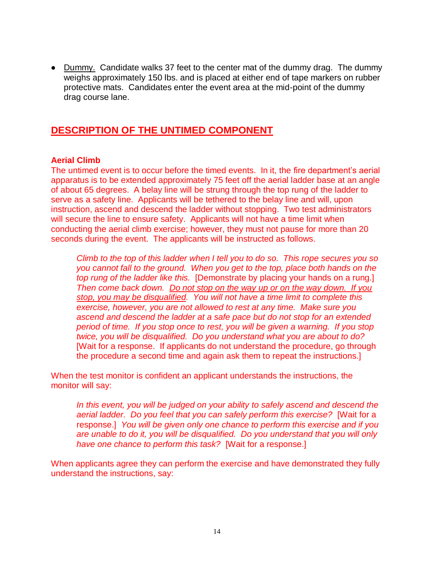Dummy. Candidate walks 37 feet to the center mat of the dummy drag. The dummy weighs approximately 150 lbs. and is placed at either end of tape markers on rubber protective mats. Candidates enter the event area at the mid-point of the dummy drag course lane.

## **DESCRIPTION OF THE UNTIMED COMPONENT**

### **Aerial Climb**

The untimed event is to occur before the timed events. In it, the fire department's aerial apparatus is to be extended approximately 75 feet off the aerial ladder base at an angle of about 65 degrees. A belay line will be strung through the top rung of the ladder to serve as a safety line. Applicants will be tethered to the belay line and will, upon instruction, ascend and descend the ladder without stopping. Two test administrators will secure the line to ensure safety. Applicants will not have a time limit when conducting the aerial climb exercise; however, they must not pause for more than 20 seconds during the event. The applicants will be instructed as follows.

*Climb to the top of this ladder when I tell you to do so. This rope secures you so you cannot fall to the ground. When you get to the top, place both hands on the top rung of the ladder like this.* [Demonstrate by placing your hands on a rung.] *Then come back down. Do not stop on the way up or on the way down. If you stop, you may be disqualified. You will not have a time limit to complete this exercise, however, you are not allowed to rest at any time. Make sure you ascend and descend the ladder at a safe pace but do not stop for an extended period of time. If you stop once to rest, you will be given a warning. If you stop twice, you will be disqualified. Do you understand what you are about to do?* [Wait for a response. If applicants do not understand the procedure, go through the procedure a second time and again ask them to repeat the instructions.]

When the test monitor is confident an applicant understands the instructions, the monitor will say:

*In this event, you will be judged on your ability to safely ascend and descend the aerial ladder. Do you feel that you can safely perform this exercise?* [Wait for a response.] *You will be given only one chance to perform this exercise and if you are unable to do it, you will be disqualified. Do you understand that you will only have one chance to perform this task?* [Wait for a response.]

When applicants agree they can perform the exercise and have demonstrated they fully understand the instructions, say: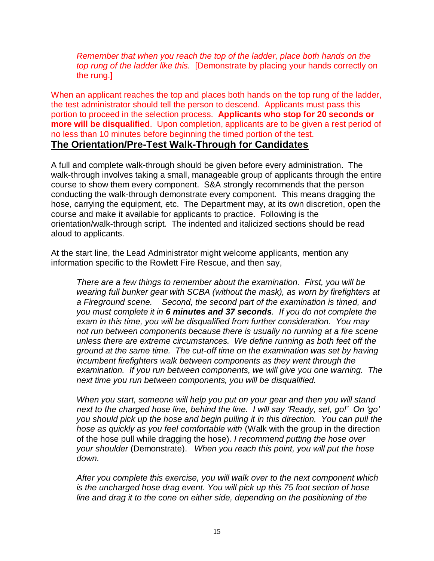*Remember that when you reach the top of the ladder, place both hands on the top rung of the ladder like this.* [Demonstrate by placing your hands correctly on the rung.]

When an applicant reaches the top and places both hands on the top rung of the ladder, the test administrator should tell the person to descend. Applicants must pass this portion to proceed in the selection process. **Applicants who stop for 20 seconds or more will be disqualified**. Upon completion, applicants are to be given a rest period of no less than 10 minutes before beginning the timed portion of the test. **The Orientation/Pre-Test Walk-Through for Candidates**

A full and complete walk-through should be given before every administration. The walk-through involves taking a small, manageable group of applicants through the entire course to show them every component. S&A strongly recommends that the person conducting the walk-through demonstrate every component. This means dragging the hose, carrying the equipment, etc. The Department may, at its own discretion, open the course and make it available for applicants to practice. Following is the orientation/walk-through script. The indented and italicized sections should be read aloud to applicants.

At the start line, the Lead Administrator might welcome applicants, mention any information specific to the Rowlett Fire Rescue, and then say,

*There are a few things to remember about the examination. First, you will be wearing full bunker gear with SCBA (without the mask), as worn by firefighters at a Fireground scene. Second, the second part of the examination is timed, and you must complete it in 6 minutes and 37 seconds. If you do not complete the exam in this time, you will be disqualified from further consideration. You may not run between components because there is usually no running at a fire scene unless there are extreme circumstances. We define running as both feet off the ground at the same time. The cut-off time on the examination was set by having incumbent firefighters walk between components as they went through the examination. If you run between components, we will give you one warning. The next time you run between components, you will be disqualified.* 

*When you start, someone will help you put on your gear and then you will stand next to the charged hose line, behind the line. I will say 'Ready, set, go!' On 'go' you should pick up the hose and begin pulling it in this direction. You can pull the hose as quickly as you feel comfortable with* (Walk with the group in the direction of the hose pull while dragging the hose)*. I recommend putting the hose over your shoulder* (Demonstrate). *When you reach this point, you will put the hose down.*

*After you complete this exercise, you will walk over to the next component which is the uncharged hose drag event. You will pick up this 75 foot section of hose line and drag it to the cone on either side, depending on the positioning of the*